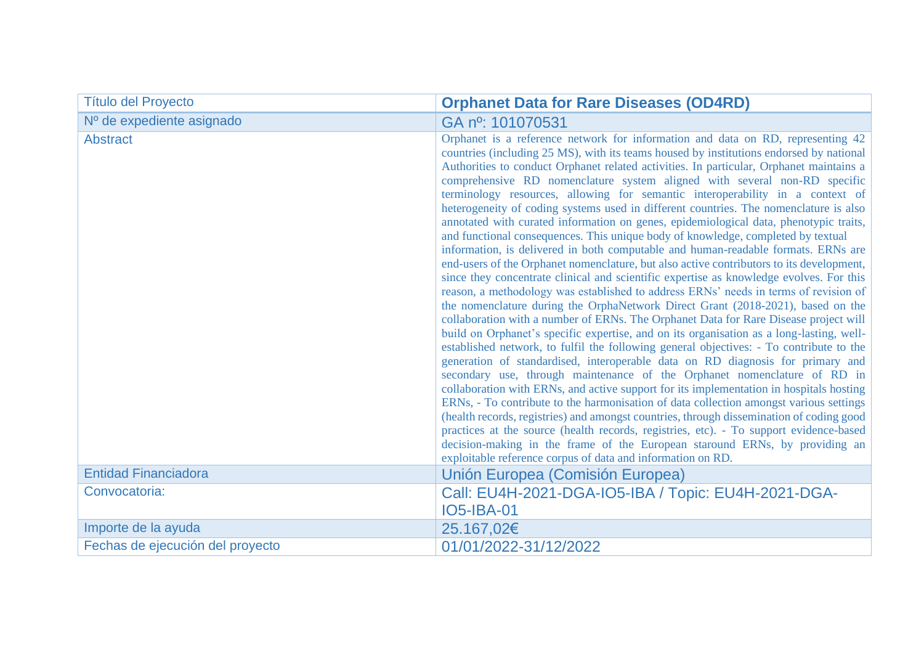| <b>Título del Proyecto</b>       | <b>Orphanet Data for Rare Diseases (OD4RD)</b>                                                                                                                                                                                                                                                                                                                                                                                                                                                                                                                                                                                                                                                                                                                                                                                                                                                                                                                                                                                                                                                                                                                                                                                                                                                                                                                                                                                                                                                                                                                                                                                                                                                                                                                                                                                                                                                                                                                                                                                                                                                                                         |
|----------------------------------|----------------------------------------------------------------------------------------------------------------------------------------------------------------------------------------------------------------------------------------------------------------------------------------------------------------------------------------------------------------------------------------------------------------------------------------------------------------------------------------------------------------------------------------------------------------------------------------------------------------------------------------------------------------------------------------------------------------------------------------------------------------------------------------------------------------------------------------------------------------------------------------------------------------------------------------------------------------------------------------------------------------------------------------------------------------------------------------------------------------------------------------------------------------------------------------------------------------------------------------------------------------------------------------------------------------------------------------------------------------------------------------------------------------------------------------------------------------------------------------------------------------------------------------------------------------------------------------------------------------------------------------------------------------------------------------------------------------------------------------------------------------------------------------------------------------------------------------------------------------------------------------------------------------------------------------------------------------------------------------------------------------------------------------------------------------------------------------------------------------------------------------|
| Nº de expediente asignado        | GA nº: 101070531                                                                                                                                                                                                                                                                                                                                                                                                                                                                                                                                                                                                                                                                                                                                                                                                                                                                                                                                                                                                                                                                                                                                                                                                                                                                                                                                                                                                                                                                                                                                                                                                                                                                                                                                                                                                                                                                                                                                                                                                                                                                                                                       |
| <b>Abstract</b>                  | Orphanet is a reference network for information and data on RD, representing 42<br>countries (including 25 MS), with its teams housed by institutions endorsed by national<br>Authorities to conduct Orphanet related activities. In particular, Orphanet maintains a<br>comprehensive RD nomenclature system aligned with several non-RD specific<br>terminology resources, allowing for semantic interoperability in a context of<br>heterogeneity of coding systems used in different countries. The nomenclature is also<br>annotated with curated information on genes, epidemiological data, phenotypic traits,<br>and functional consequences. This unique body of knowledge, completed by textual<br>information, is delivered in both computable and human-readable formats. ERNs are<br>end-users of the Orphanet nomenclature, but also active contributors to its development,<br>since they concentrate clinical and scientific expertise as knowledge evolves. For this<br>reason, a methodology was established to address ERNs' needs in terms of revision of<br>the nomenclature during the OrphaNetwork Direct Grant (2018-2021), based on the<br>collaboration with a number of ERNs. The Orphanet Data for Rare Disease project will<br>build on Orphanet's specific expertise, and on its organisation as a long-lasting, well-<br>established network, to fulfil the following general objectives: - To contribute to the<br>generation of standardised, interoperable data on RD diagnosis for primary and<br>secondary use, through maintenance of the Orphanet nomenclature of RD in<br>collaboration with ERNs, and active support for its implementation in hospitals hosting<br>ERNs, - To contribute to the harmonisation of data collection amongst various settings<br>(health records, registries) and amongst countries, through dissemination of coding good<br>practices at the source (health records, registries, etc). - To support evidence-based<br>decision-making in the frame of the European staround ERNs, by providing an<br>exploitable reference corpus of data and information on RD. |
| <b>Entidad Financiadora</b>      | Unión Europea (Comisión Europea)                                                                                                                                                                                                                                                                                                                                                                                                                                                                                                                                                                                                                                                                                                                                                                                                                                                                                                                                                                                                                                                                                                                                                                                                                                                                                                                                                                                                                                                                                                                                                                                                                                                                                                                                                                                                                                                                                                                                                                                                                                                                                                       |
| Convocatoria:                    | Call: EU4H-2021-DGA-IO5-IBA / Topic: EU4H-2021-DGA-<br><b>IO5-IBA-01</b>                                                                                                                                                                                                                                                                                                                                                                                                                                                                                                                                                                                                                                                                                                                                                                                                                                                                                                                                                                                                                                                                                                                                                                                                                                                                                                                                                                                                                                                                                                                                                                                                                                                                                                                                                                                                                                                                                                                                                                                                                                                               |
| Importe de la ayuda              | 25.167,02€                                                                                                                                                                                                                                                                                                                                                                                                                                                                                                                                                                                                                                                                                                                                                                                                                                                                                                                                                                                                                                                                                                                                                                                                                                                                                                                                                                                                                                                                                                                                                                                                                                                                                                                                                                                                                                                                                                                                                                                                                                                                                                                             |
| Fechas de ejecución del proyecto | 01/01/2022-31/12/2022                                                                                                                                                                                                                                                                                                                                                                                                                                                                                                                                                                                                                                                                                                                                                                                                                                                                                                                                                                                                                                                                                                                                                                                                                                                                                                                                                                                                                                                                                                                                                                                                                                                                                                                                                                                                                                                                                                                                                                                                                                                                                                                  |